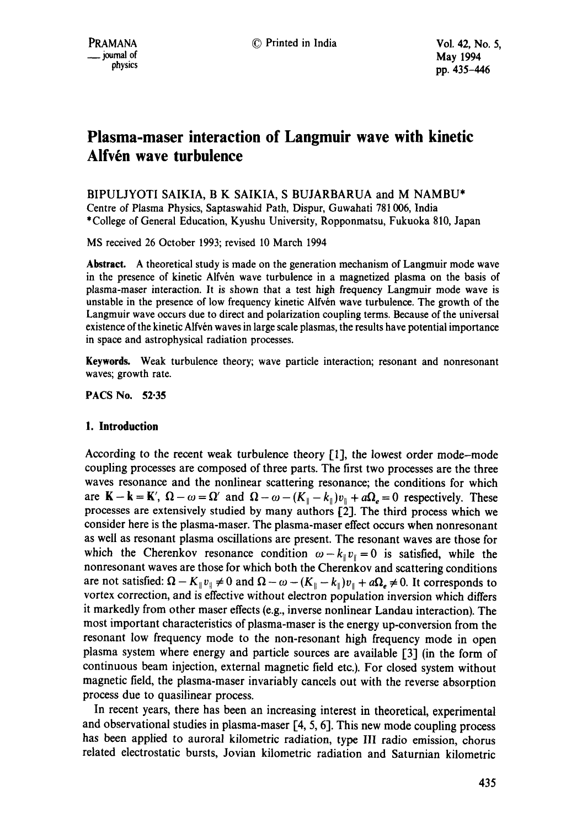# **Plasma-maser interaction of Langmuir wave with kinetic**  Alfvén wave turbulence

BIPULJYOTI SAIKIA, B K SAIKIA, S BUJARBARUA and M NAMBU\* Centre of Plasma Physics, Saptaswahid Path, Dispur, Guwahati 781006, India \*College of General Education, Kyushu University, Ropponmatsu, Fukuoka 810, Japan

MS received 26 October 1993; revised 10 March 1994

**Abstract.** A theoretical study is made on the generation mechanism of Langmuir mode wave in the presence of kinetic Alfvén wave turbulence in a magnetized plasma on the basis of plasma-maser interaction. It is shown that a test high frequency Langmuir mode wave is unstable in the presence of low frequency kinetic Alfvén wave turbulence. The growth of the Langmuir wave occurs due to direct and polarization coupling terms. Because of the universal existence of the kinetic Alfvén waves in large scale plasmas, the results have potential importance in space and astrophysical radiation processes.

**Keywords.** Weak turbulence theory; wave particle interaction; resonant and nonresonant waves; growth rate.

PACS No. 52.35

## **1. Introduction**

According to the recent weak turbulence theory [1], the lowest order mode-mode coupling processes are composed of three parts. The first two processes are the three waves resonance and the nonlinear scattering resonance; the conditions for which are  $K - k = K'$ ,  $\Omega - \omega = \Omega'$  and  $\Omega - \omega - (K_{\parallel} - k_{\parallel})v_{\parallel} + a\Omega_{e} = 0$  respectively. These processes are extensively studied by many authors [2]. The third process which we consider here is the plasma-maser. The plasma-maser effect occurs when nonresonant as well as resonant plasma oscillations are present. The resonant waves are those for which the Cherenkov resonance condition  $\omega - k_{\parallel} v_{\parallel} = 0$  is satisfied, while the nonresonant waves are those for which both the Cherenkov and scattering conditions are not satisfied:  $\Omega - K_{\parallel}v_{\parallel} \neq 0$  and  $\Omega - \omega - (K_{\parallel} - k_{\parallel})v_{\parallel} + a\Omega_e \neq 0$ . It corresponds to vortex correction, and is effective without electron population inversion which differs it markedly from other maser effects (e.g., inverse nonlinear Landau interaction). The most important characteristics of plasma-maser is the energy up-conversion from the resonant low frequency mode to the non-resonant high frequency mode in open plasma system where energy and particle sources are available [3] (in the form of continuous beam injection, external magnetic field etc.). For closed system without magnetic field, the plasma-maser invariably cancels out with the reverse absorption process due to quasilinear process.

In recent years, there has been an increasing interest in theoretical, experimental and observational studies in plasma-maser [4, 5, 6]. This new mode coupling process has been applied to auroral kilometric radiation, type III radio emission, chorus related electrostatic bursts, Jovian kilometric radiation and Saturnian kilometric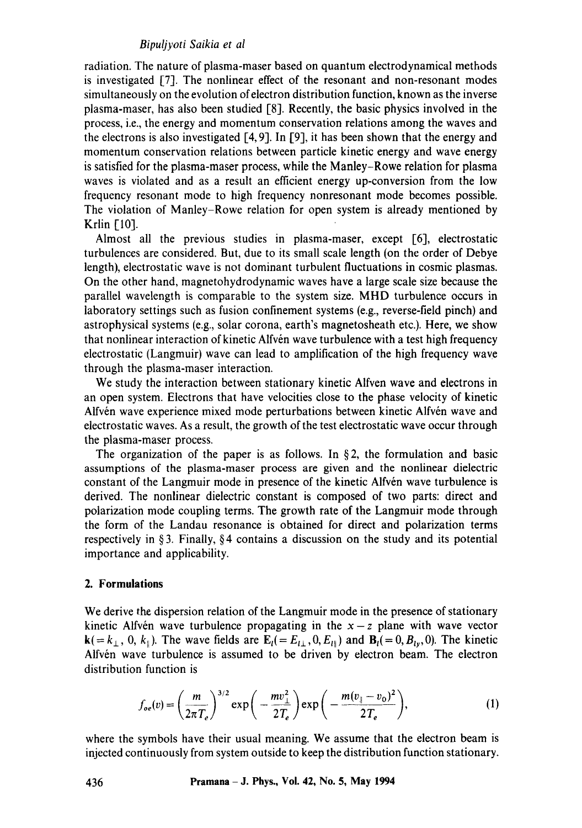## *Bipuljyoti Saikia et al*

radiation. The nature of plasma-maser based on quantum electrodynamical methods is investigated [7]. The nonlinear effect of the resonant and non-resonant modes simultaneously on the evolution of electron distribution function, known as the inverse plasma-maser, has also been studied [8]. Recently, the basic physics involved in the process, i.e., the energy and momentum conservation relations among the waves and the electrons is also investigated  $[4, 9]$ . In [9], it has been shown that the energy and momentum conservation relations between particle kinetic energy and wave energy is satisfied for the plasma-maser process, while the Manley-Rowe relation for plasma waves is violated and as a result an efficient energy up-conversion from the low frequency resonant mode to high frequency nonresonant mode becomes possible. The violation of Manley-Rowe relation for open system is already mentioned by Krlin [10].

Almost all the previous studies in plasma-maser, except [6], electrostatic turbulences are considered. But, due to its small scale length (on the order of Debye length), electrostatic wave is not dominant turbulent fluctuations in cosmic plasmas. On the other hand, magnetohydrodynamic waves have a large scale size because the parallel wavelength is comparable to the system size. MHD turbulence occurs in laboratory settings such as fusion confinement systems (e.g., reverse-field pinch) and astrophysical systems (e.g., solar corona, earth's magnetosheath etc.). Here, we show that nonlinear interaction of kinetic Alfvén wave turbulence with a test high frequency electrostatic (Langmuir) wave can lead to amplification of the high frequency wave through the plasma-maser interaction.

We study the interaction between stationary kinetic Alfven wave and electrons in an open system. Electrons that have velocities close to the phase velocity of kinetic Alfvén wave experience mixed mode perturbations between kinetic Alfvén wave and electrostatic waves. As a result, the growth of the test electrostatic wave occur through the plasma-maser process.

The organization of the paper is as follows. In  $\S$ 2, the formulation and basic assumptions of the plasma-maser process are given and the nonlinear dielectric constant of the Langmuir mode in presence of the kinetic Alfvén wave turbulence is derived. The nonlinear dielectric constant is composed of two parts: direct and polarization mode coupling terms. The growth rate of the Langmuir mode through the form of the Landau resonance is obtained for direct and polarization terms respectively in  $\S 3$ . Finally,  $\S 4$  contains a discussion on the study and its potential importance and applicability.

## **2. Formulations**

We derive the dispersion relation of the Langmuir mode in the presence of stationary kinetic Alfvén wave turbulence propagating in the  $x-z$  plane with wave vector  $k(=k_{\perp}, 0, k_{\parallel})$ . The wave fields are  $E_l(= E_{l\perp}, 0, E_{l\parallel})$  and  $B_l(= 0, B_{l}$ , 0). The kinetic Alfvén wave turbulence is assumed to be driven by electron beam. The electron distribution function is

$$
f_{oe}(v) = \left(\frac{m}{2\pi T_e}\right)^{3/2} \exp\bigg(-\frac{mv_{\perp}^2}{2T_e}\bigg) \exp\bigg(-\frac{m(v_{\parallel} - v_{o})^2}{2T_e}\bigg),\tag{1}
$$

where the symbols have their usual meaning. We assume that the electron beam is injected continuously from system outside to keep the distribution function stationary.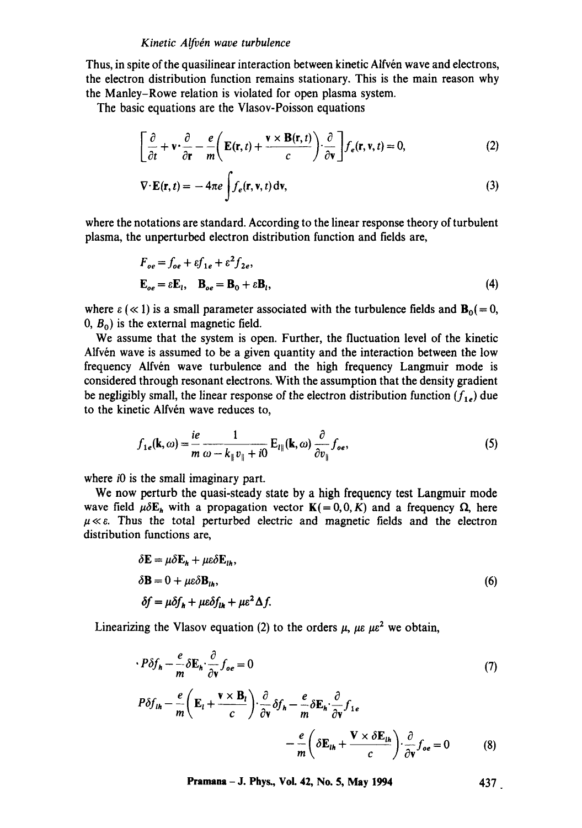#### *Kinetic Alfvdn wave turbulence*

Thus, in spite of the quasilinear interaction between kinetic Alfvén wave and electrons, the electron distribution function remains stationary. This is the main reason why the Manley-Rowe relation is violated for open plasma system.

The basic equations are the Vlasov-Poisson equations

$$
\left[\frac{\partial}{\partial t} + \mathbf{v} \cdot \frac{\partial}{\partial \mathbf{r}} - \frac{e}{m} \left( \mathbf{E}(\mathbf{r}, t) + \frac{\mathbf{v} \times \mathbf{B}(\mathbf{r}, t)}{c} \right) \cdot \frac{\partial}{\partial \mathbf{v}} \right] f_e(\mathbf{r}, \mathbf{v}, t) = 0, \tag{2}
$$

$$
\nabla \cdot \mathbf{E}(\mathbf{r}, t) = -4\pi e \int f_e(\mathbf{r}, \mathbf{v}, t) \, \mathrm{d}\mathbf{v},\tag{3}
$$

where the notations are standard. According to the linear response theory of turbulent plasma, the unperturbed electron distribution function and fields are,

$$
F_{oe} = f_{oe} + \varepsilon f_{1e} + \varepsilon^2 f_{2e},
$$
  

$$
\mathbf{E}_{oe} = \varepsilon \mathbf{E}_l, \quad \mathbf{B}_{oe} = \mathbf{B}_0 + \varepsilon \mathbf{B}_l,
$$
 (4)

where  $\varepsilon$  ( $\ll$  1) is a small parameter associated with the turbulence fields and  $B_0(= 0, 0)$  $(0, B_0)$  is the external magnetic field.

We assume that the system is open. Further, the fluctuation level of the kinetic Alfvén wave is assumed to be a given quantity and the interaction between the low frequency Alfvén wave turbulence and the high frequency Langmuir mode is considered through resonant electrons. With the assumption that the density gradient be negligibly small, the linear response of the electron distribution function  $(f_{1e})$  due to the kinetic Alfvén wave reduces to,

$$
f_{1e}(\mathbf{k},\omega) = \frac{ie}{m} \frac{1}{\omega - k_{\parallel}v_{\parallel} + i0} \mathbf{E}_{l\parallel}(\mathbf{k},\omega) \frac{\partial}{\partial v_{\parallel}} f_{oe},
$$
 (5)

where *i*0 is the small imaginary part.

We now perturb the quasi-steady state by a high frequency test Langmuir mode wave field  $\mu \delta E_h$  with a propagation vector  $K(=0,0,K)$  and a frequency  $\Omega$ , here  $\mu \ll \varepsilon$ . Thus the total perturbed electric and magnetic fields and the electron distribution functions are,

$$
\delta \mathbf{E} = \mu \delta \mathbf{E}_h + \mu \epsilon \delta \mathbf{E}_{lh},
$$
  
\n
$$
\delta \mathbf{B} = 0 + \mu \epsilon \delta \mathbf{B}_{lh},
$$
  
\n
$$
\delta f = \mu \delta f_h + \mu \epsilon \delta f_{lh} + \mu \epsilon^2 \Delta f.
$$
\n(6)

Linearizing the Vlasov equation (2) to the orders  $\mu$ ,  $\mu\epsilon \mu e^2$  we obtain,

$$
\cdot P \delta f_h - \frac{e}{m} \delta \mathbf{E}_h \cdot \frac{\partial}{\partial \mathbf{v}} f_{oe} = 0
$$
 (7)  

$$
P \delta f_{lh} - \frac{e}{m} \left( \mathbf{E}_l + \frac{\mathbf{v} \times \mathbf{B}_l}{c} \right) \cdot \frac{\partial}{\partial \mathbf{v}} \delta f_h - \frac{e}{m} \delta \mathbf{E}_h \cdot \frac{\partial}{\partial \mathbf{v}} f_{1e}
$$

$$
- \frac{e}{m} \left( \delta \mathbf{E}_{lh} + \frac{\mathbf{V} \times \delta \mathbf{E}_{lh}}{c} \right) \cdot \frac{\partial}{\partial \mathbf{v}} f_{oe} = 0
$$
 (8)

**Pramana - J. Phys., Vol. 42, No. 5, May 1994** 437.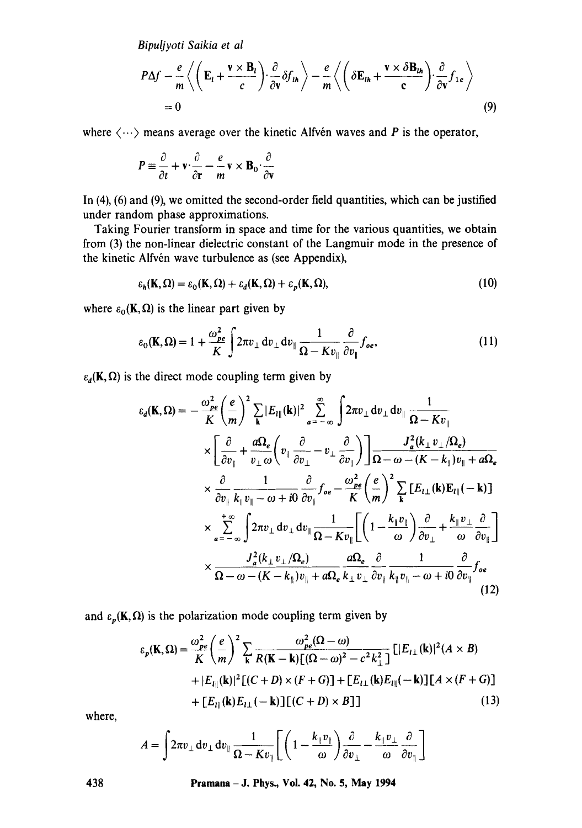Bipuljyoti Saikia et al

$$
P\Delta f - \frac{e}{m} \left\langle \left( \mathbf{E}_l + \frac{\mathbf{v} \times \mathbf{B}_l}{c} \right) \cdot \frac{\partial}{\partial \mathbf{v}} \delta f_{\mathbf{u}_h} \right\rangle - \frac{e}{m} \left\langle \left( \delta \mathbf{E}_{\mathbf{u}_h} + \frac{\mathbf{v} \times \delta \mathbf{B}_{\mathbf{u}_h}}{\mathbf{c}} \right) \cdot \frac{\partial}{\partial \mathbf{v}} f_{1e} \right\rangle
$$
  
= 0 (9)

where  $\langle \cdots \rangle$  means average over the kinetic Alfvén waves and P is the operator,

$$
P \equiv \frac{\partial}{\partial t} + \mathbf{v} \cdot \frac{\partial}{\partial \mathbf{r}} - \frac{e}{m} \mathbf{v} \times \mathbf{B}_0 \cdot \frac{\partial}{\partial \mathbf{v}}
$$

In  $(4)$ ,  $(6)$  and  $(9)$ , we omitted the second-order field quantities, which can be justified under random phase approximations.

Taking Fourier transform in space and time for the various quantities, we obtain from (3) the non-linear dielectric constant of the Langmuir mode in the presence of the kinetic Alfvén wave turbulence as (see Appendix),

$$
\varepsilon_h(\mathbf{K}, \Omega) = \varepsilon_0(\mathbf{K}, \Omega) + \varepsilon_d(\mathbf{K}, \Omega) + \varepsilon_p(\mathbf{K}, \Omega),\tag{10}
$$

where  $\varepsilon_0(\mathbf{K}, \Omega)$  is the linear part given by

$$
\varepsilon_0(\mathbf{K}, \Omega) = 1 + \frac{\omega_{pe}^2}{K} \int 2\pi v_\perp dv_\perp dv_\parallel \frac{1}{\Omega - K v_\parallel} \frac{\partial}{\partial v_\parallel} f_{oe}, \qquad (11)
$$

 $\varepsilon_d(\mathbf{K}, \Omega)$  is the direct mode coupling term given by

$$
\varepsilon_{d}(\mathbf{K},\Omega) = -\frac{\omega_{pe}^{2}}{K} \left(\frac{e}{m}\right)^{2} \sum_{\mathbf{k}} |E_{I\parallel}(\mathbf{k})|^{2} \sum_{a=-\infty}^{\infty} \int 2\pi v_{\perp} dv_{\perp} dv_{\parallel} \frac{1}{\Omega - Kv_{\parallel}}
$$
  

$$
\times \left[\frac{\partial}{\partial v_{\parallel}} + \frac{a\Omega_{e}}{v_{\perp}\omega} \left(v_{\parallel} \frac{\partial}{\partial v_{\perp}} - v_{\perp} \frac{\partial}{\partial v_{\parallel}}\right)\right] \frac{J_{a}^{2}(k_{\perp}v_{\perp}/\Omega_{e})}{\Omega - \omega - (K - k_{\parallel})v_{\parallel} + a\Omega_{e}}
$$
  

$$
\times \frac{\partial}{\partial v_{\parallel}} \frac{1}{k_{\parallel}v_{\parallel} - \omega + i0} \frac{\partial}{\partial v_{\parallel}} f_{oe} - \frac{\omega_{pe}^{2}}{K} \left(\frac{e}{m}\right)^{2} \sum_{\mathbf{k}} [E_{I\perp}(\mathbf{k}) E_{I\parallel}(-\mathbf{k})]
$$
  

$$
\times \sum_{a=-\infty}^{+\infty} \int 2\pi v_{\perp} dv_{\perp} dv_{\parallel} \frac{1}{\Omega - Kv_{\parallel}} \left[\left(1 - \frac{k_{\parallel}v_{\parallel}}{\omega}\right) \frac{\partial}{\partial v_{\perp}} + \frac{k_{\parallel}v_{\perp}}{\omega} \frac{\partial}{\partial v_{\parallel}}\right]
$$
  

$$
\times \frac{J_{a}^{2}(k_{\perp}v_{\perp}/\Omega_{e})}{\Omega - \omega - (K - k_{\parallel})v_{\parallel} + a\Omega_{e}} \frac{a\Omega_{e}}{k_{\perp}v_{\perp}} \frac{\partial}{\partial v_{\parallel}} \frac{1}{k_{\parallel}v_{\parallel} - \omega + i0} \frac{\partial}{\partial v_{\parallel}} f_{oe} \tag{12}
$$

and  $\varepsilon_p(\mathbf{K}, \Omega)$  is the polarization mode coupling term given by

$$
\varepsilon_p(\mathbf{K}, \Omega) = \frac{\omega_{pe}^2}{K} \left(\frac{e}{m}\right)^2 \sum_{\mathbf{k}} \frac{\omega_{pe}^2(\Omega - \omega)}{R(\mathbf{K} - \mathbf{k})[(\Omega - \omega)^2 - c^2 k_{\perp}^2]} \left[|E_{l\perp}(\mathbf{k})|^2 (A \times B) + |E_{l\parallel}(\mathbf{k})|^2 \left[ (C + D) \times (F + G) \right] + [E_{l\perp}(\mathbf{k}) E_{l\parallel}(-\mathbf{k})] \left[ A \times (F + G) \right] + [E_{l\parallel}(\mathbf{k}) E_{l\perp}(-\mathbf{k})] \left[ (C + D) \times B \right] \right]
$$
(13)

where,

$$
A = \int 2\pi v_\perp dv_\perp dv_\parallel \frac{1}{\Omega - K v_\parallel} \left[ \left( 1 - \frac{k_\parallel v_\parallel}{\omega} \right) \frac{\partial}{\partial v_\perp} - \frac{k_\parallel v_\perp}{\omega} \frac{\partial}{\partial v_\parallel} \right]
$$

Pramana - J. Phys., Vol. 42, No. 5, May 1994

438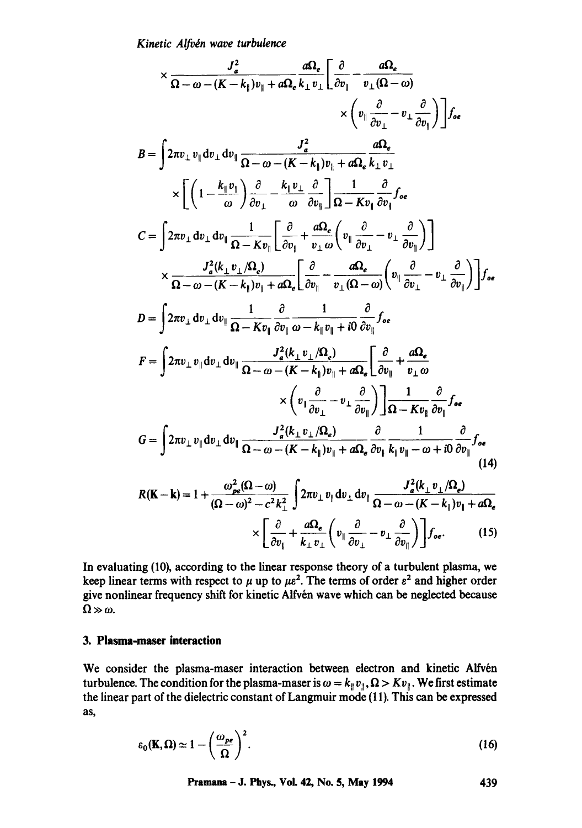Kinetic Alfvén wave turbulence

$$
\times \frac{J_{a}^{2}}{\Omega - \omega - (K - k_{\parallel})v_{\parallel} + a\Omega_{e}} \frac{a\Omega_{e}}{k_{\perp}v_{\perp}} \left[ \frac{\partial}{\partial v_{\parallel}} - \frac{a\Omega_{e}}{v_{\perp}(\Omega - \omega)} \right. \\ \times \left( v_{\parallel} \frac{\partial}{\partial v_{\perp}} - v_{\perp} \frac{\partial}{\partial v_{\parallel}} \right) \right] f_{oe}
$$
\n
$$
B = \int 2\pi v_{\perp} v_{\parallel} dv_{\perp} dv_{\parallel} \frac{J_{a}^{2}}{\Omega - \omega - (K - k_{\parallel})v_{\parallel} + a\Omega_{e}} \frac{a\Omega_{e}}{k_{\perp}v_{\perp}} \times \left[ \left( 1 - \frac{k_{\parallel}v_{\parallel}}{\omega} \right) \frac{\partial}{\partial v_{\perp}} - \frac{k_{\parallel}v_{\perp}}{\omega} \frac{\partial}{\partial v_{\parallel}} \right] \frac{1}{\Omega - Kv_{\parallel}} \frac{\partial}{\partial v_{\parallel}} f_{oe}
$$
\n
$$
C = \int 2\pi v_{\perp} dv_{\perp} dv_{\parallel} \frac{1}{\Omega - Kv_{\parallel}} \left[ \frac{\partial}{\partial v_{\parallel}} + \frac{a\Omega_{e}}{v_{\perp}\omega} \left( v_{\parallel} \frac{\partial}{\partial v_{\perp}} - v_{\perp} \frac{\partial}{\partial v_{\parallel}} \right) \right]
$$
\n
$$
\times \frac{J_{a}^{2}(k_{\perp}v_{\perp}\Omega_{e})}{\Omega - \omega - (K - k_{\parallel})v_{\parallel} + a\Omega_{e}} \left[ \frac{\partial}{\partial v_{\parallel}} - \frac{a\Omega_{e}}{v_{\perp}(\Omega - \omega)} \left( v_{\parallel} \frac{\partial}{\partial v_{\perp}} - v_{\perp} \frac{\partial}{\partial v_{\parallel}} \right) \right] f_{oe}
$$
\n
$$
D = \int 2\pi v_{\perp} dv_{\perp} dv_{\parallel} \frac{1}{\Omega - Kv_{\parallel}} \frac{\partial}{\partial v_{\parallel}} \frac{1}{\omega - k_{\parallel}v_{\parallel} + i0} \frac{\partial}{\partial v_{\parallel}} f_{oe}
$$
\n
$$
F = \int 2\pi v_{\perp} v_{\parallel} dv_{\
$$

$$
R(\mathbf{K} - \mathbf{k}) = 1 + \frac{\omega_{pe}^{2}(\Omega - \omega)}{(\Omega - \omega)^{2} - c^{2}k_{\perp}^{2}} \int 2\pi v_{\perp} v_{\parallel} dv_{\perp} dv_{\parallel} \frac{J_{a}^{2}(k_{\perp} v_{\perp}/\Omega_{e})}{\Omega - \omega - (K - k_{\parallel})v_{\parallel} + a\Omega_{e}} \times \left[ \frac{\partial}{\partial v_{\parallel}} + \frac{a\Omega_{e}}{k_{\perp} v_{\perp}} \left( v_{\parallel} \frac{\partial}{\partial v_{\perp}} - v_{\perp} \frac{\partial}{\partial v_{\parallel}} \right) \right] f_{oe}.
$$
 (15)

In evaluating (10), according to the linear response theory of a turbulent plasma, we keep linear terms with respect to  $\mu$  up to  $\mu\epsilon^2$ . The terms of order  $\epsilon^2$  and higher order give nonlinear frequency shift for kinetic Alfvén wave which can be neglected because  $\Omega \gg \omega$ .

# 3. Plasma-maser interaction

We consider the plasma-maser interaction between electron and kinetic Alfvén turbulence. The condition for the plasma-maser is  $\omega = k_{\parallel} v_{\parallel}$ ,  $\Omega > K v_{\parallel}$ . We first estimate the linear part of the dielectric constant of Langmuir mode (11). This can be expressed as,

$$
\varepsilon_0(\mathbf{K}, \Omega) \simeq 1 - \left(\frac{\omega_{pe}}{\Omega}\right)^2. \tag{16}
$$

Pramana - J. Phys., Vol. 42, No. 5, May 1994

439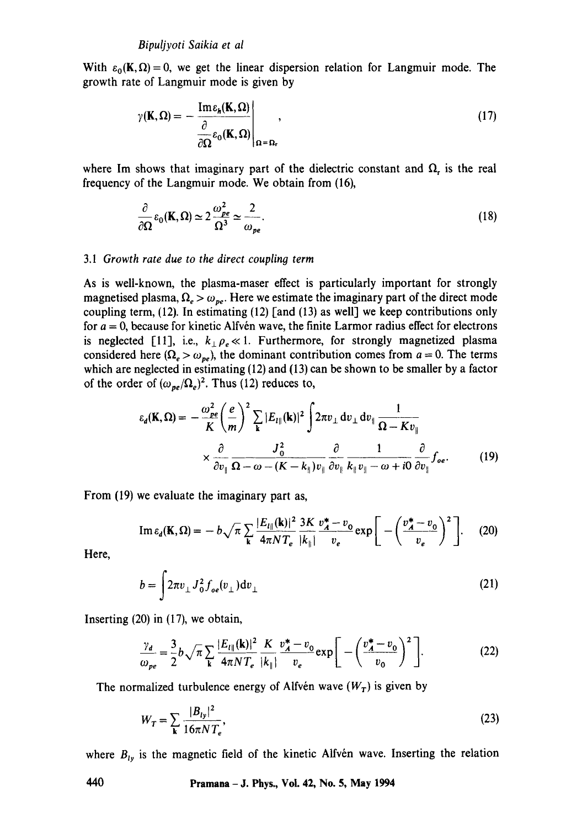With  $\varepsilon_0(K,\Omega) = 0$ , we get the linear dispersion relation for Langmuir mode. The growth rate of Langmuir mode is given by

$$
\gamma(\mathbf{K}, \Omega) = -\frac{\mathrm{Im} \varepsilon_h(\mathbf{K}, \Omega)}{\frac{\partial}{\partial \Omega} \varepsilon_0(\mathbf{K}, \Omega)} \Big|_{\Omega = \Omega_r},\tag{17}
$$

where Im shows that imaginary part of the dielectric constant and  $\Omega$ , is the real frequency of the Langmuir mode. We obtain from (16),

$$
\frac{\partial}{\partial \Omega} \varepsilon_0(\mathbf{K}, \Omega) \simeq 2 \frac{\omega_{pe}^2}{\Omega^3} \simeq \frac{2}{\omega_{pe}}.
$$
 (18)

#### 3.1 *Growth rate due to the direct coupling term*

As is well-known, the plasma-maser effect is particularly important for strongly magnetised plasma,  $\Omega_e > \omega_{pe}$ . Here we estimate the imaginary part of the direct mode coupling term,  $(12)$ . In estimating  $(12)$  [and  $(13)$  as well] we keep contributions only for  $a = 0$ , because for kinetic Alfvén wave, the finite Larmor radius effect for electrons is neglected [11], i.e.,  $k \rho_e \ll 1$ . Furthermore, for strongly magnetized plasma considered here ( $\Omega_e > \omega_{pe}$ ), the dominant contribution comes from  $a = 0$ . The terms which are neglected in estimating (12) and (13) can be shown to be smaller by a factor of the order of  $(\omega_{pe}/\Omega_e)^2$ . Thus (12) reduces to,

$$
\varepsilon_d(\mathbf{K}, \Omega) = -\frac{\omega_{pe}^2}{K} \left(\frac{e}{m}\right)^2 \sum_{\mathbf{k}} |E_{l\parallel}(\mathbf{k})|^2 \int 2\pi v_\perp dv_\perp dv_\parallel \frac{1}{\Omega - K v_\parallel} \times \frac{\partial}{\partial v_\parallel} \frac{J_0^2}{\Omega - \omega - (K - k_\parallel) v_\parallel} \frac{\partial}{\partial v_\parallel} \frac{1}{k_\parallel v_\parallel - \omega + i0} \frac{\partial}{\partial v_\parallel} f_{oe}.
$$
 (19)

From (19) we evaluate the imaginary part as,

$$
\operatorname{Im}\varepsilon_{d}(\mathbf{K},\Omega) = -b\sqrt{\pi}\sum_{\mathbf{k}}\frac{|E_{l\parallel}(\mathbf{k})|^{2}}{4\pi NT_{e}}\frac{3K}{|k_{\parallel}}\frac{v_{A}^{*}-v_{0}}{v_{e}}\exp\bigg[-\bigg(\frac{v_{A}^{*}-v_{0}}{v_{e}}\bigg)^{2}\bigg].\tag{20}
$$

Here,

$$
b = \int 2\pi v_{\perp} J_0^2 f_{oe}(v_{\perp}) dv_{\perp}
$$
 (21)

Inserting (20) in (17), we obtain,

$$
\frac{\gamma_d}{\omega_{pe}} = \frac{3}{2} b \sqrt{\pi} \sum_{\mathbf{k}} \frac{|E_{l\parallel}(\mathbf{k})|^2}{4\pi N T_e} \frac{K}{|k_{\parallel}|} \frac{v_A^* - v_0}{v_e} \exp\bigg[ -\bigg(\frac{v_A^* - v_0}{v_0}\bigg)^2 \bigg].
$$
 (22)

The normalized turbulence energy of Alfvén wave  $(W_T)$  is given by

$$
W_T = \sum_{k} \frac{|B_{ly}|^2}{16\pi N T_e},
$$
\n(23)

where  $B_{ty}$  is the magnetic field of the kinetic Alfvén wave. Inserting the relation

**440 Pramana - J. Phys., Vol. 42, No. 5, May 1994**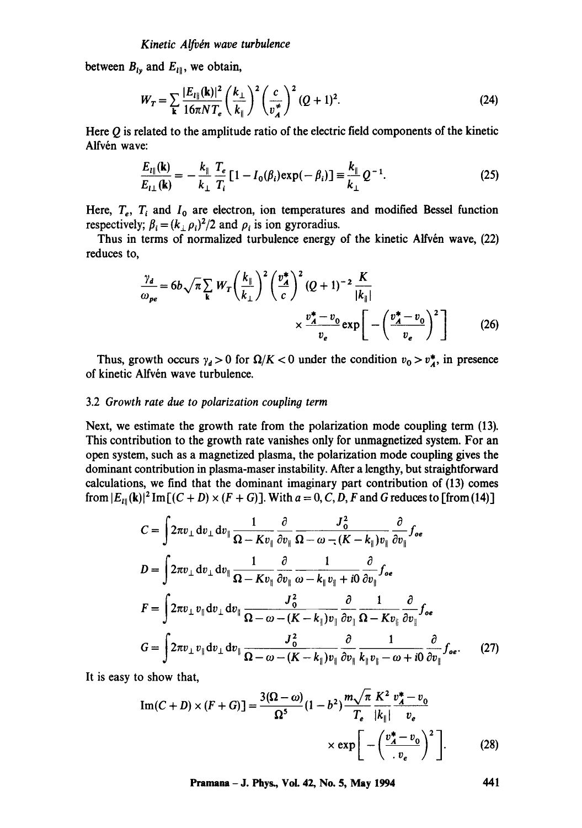between  $B_{ly}$  and  $E_{ly}$ , we obtain,

$$
W_T = \sum_{\mathbf{k}} \frac{|E_{l\parallel}(\mathbf{k})|^2}{16\pi N T_e} \left(\frac{k_{\perp}}{k_{\parallel}}\right)^2 \left(\frac{c}{v_A^*}\right)^2 (Q+1)^2.
$$
 (24)

Here  $Q$  is related to the amplitude ratio of the electric field components of the kinetic Alfvén wave:

$$
\frac{E_{I\parallel}(\mathbf{k})}{E_{I\perp}(\mathbf{k})} = -\frac{k_{\parallel}}{k_{\perp}} \frac{T_e}{T_i} \left[ 1 - I_0(\beta_i) \exp(-\beta_i) \right] \equiv \frac{k_{\parallel}}{k_{\perp}} Q^{-1}.
$$
\n(25)

Here,  $T_e$ ,  $T_i$  and  $I_0$  are electron, ion temperatures and modified Bessel function respectively;  $\beta_i = (k_{\perp} \rho_i)^2/2$  and  $\rho_i$  is ion gyroradius.

Thus in terms of normalized turbulence energy of the kinetic Alfvén wave, (22) reduces to,

$$
\frac{\gamma_d}{\omega_{pe}} = 6b\sqrt{\pi} \sum_{\mathbf{k}} W_T \left(\frac{k_{\parallel}}{k_{\perp}}\right)^2 \left(\frac{v_A^*}{c}\right)^2 (Q+1)^{-2} \frac{K}{|k_{\parallel}|} \times \frac{v_A^* - v_0}{v_e} \exp\left[-\left(\frac{v_A^* - v_0}{v_e}\right)^2\right] \tag{26}
$$

Thus, growth occurs  $\gamma_d > 0$  for  $\Omega/K < 0$  under the condition  $v_0 > v_A^*$ , in presence of kinetic Alfvén wave turbulence.

#### 3.2 *Growth rate due to polarization couplin9 term*

Next, we estimate the growth rate from the polarization mode coupling term (13). This contribution to the growth rate vanishes only for unmagnetized system. For an open system, such as a magnetized plasma, the polarization mode coupling gives the dominant contribution in plasma-maser instability. After a lengthy, but straightforward calculations, we find that the dominant imaginary part contribution of (13) comes from  $|E_{t}(\mathbf{k})|^2$  Im  $[(C+D)\times (F+G)]$ . With  $a=0, C, D, F$  and G reduces to [from (14)]

$$
C = \int 2\pi v_{\perp} dv_{\perp} dv_{\parallel} \frac{1}{\Omega - Kv_{\parallel}} \frac{\partial}{\partial v_{\parallel}} \frac{J_0^2}{\Omega - \omega - (K - k_{\parallel})v_{\parallel}} \frac{\partial}{\partial v_{\parallel}} f_{oe}
$$
  
\n
$$
D = \int 2\pi v_{\perp} dv_{\perp} dv_{\parallel} \frac{1}{\Omega - Kv_{\parallel}} \frac{\partial}{\partial v_{\parallel}} \frac{1}{\omega - k_{\parallel}v_{\parallel} + i0} \frac{\partial}{\partial v_{\parallel}} f_{oe}
$$
  
\n
$$
F = \int 2\pi v_{\perp} v_{\parallel} dv_{\perp} dv_{\parallel} \frac{J_0^2}{\Omega - \omega - (K - k_{\parallel})v_{\parallel}} \frac{\partial}{\partial v_{\parallel}} \frac{1}{\Omega - Kv_{\parallel}} \frac{\partial}{\partial v_{\parallel}} f_{oe}
$$
  
\n
$$
G = \int 2\pi v_{\perp} v_{\parallel} dv_{\perp} dv_{\parallel} \frac{J_0^2}{\Omega - \omega - (K - k_{\parallel})v_{\parallel}} \frac{\partial}{\partial v_{\parallel}} \frac{1}{k_{\parallel}v_{\parallel} - \omega + i0} \frac{\partial}{\partial v_{\parallel}} f_{oe}.
$$
 (27)

It is easy to show that,

$$
\operatorname{Im}(C+D) \times (F+G) = \frac{3(\Omega-\omega)}{\Omega^5} (1-b^2) \frac{m\sqrt{\pi}}{T_e} \frac{K^2}{|k_{\parallel}|} \frac{v_{\star}^* - v_0}{v_e}
$$

$$
\times \exp\left[-\left(\frac{v_{\star}^* - v_0}{v_e}\right)^2\right].
$$
 (28)

**Pramana - J. Phys., Vol. 42, No. 5, May 1994** 441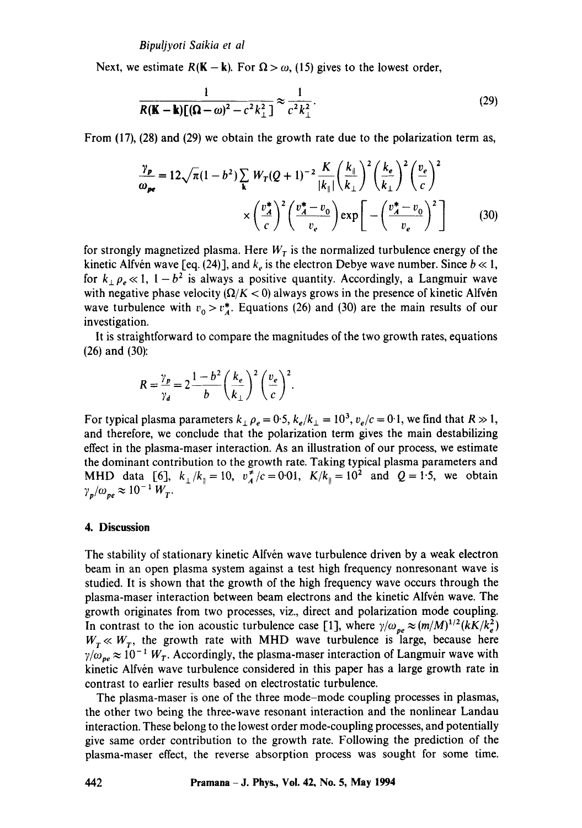Next, we estimate  $R(K - k)$ . For  $\Omega > \omega$ , (15) gives to the lowest order,

$$
\frac{1}{R(\mathbf{K} - \mathbf{k})[(\mathbf{\Omega} - \omega)^2 - c^2 k_\perp^2]} \approx \frac{1}{c^2 k_\perp^2}.
$$
\n(29)

From (17), (28) and (29) we obtain the growth rate due to the polarization term as,

$$
\frac{\gamma_p}{\omega_{pe}} = 12\sqrt{\pi}(1-b^2)\sum_{\mathbf{k}} W_T(Q+1)^{-2}\frac{K}{|k_{\parallel}|}\left(\frac{k_{\parallel}}{k_{\perp}}\right)^2 \left(\frac{k_e}{k_{\perp}}\right)^2 \left(\frac{v_e}{c}\right)^2
$$

$$
\times \left(\frac{v_A^*}{c}\right)^2 \left(\frac{v_A^*-v_0}{v_e}\right) \exp\left[-\left(\frac{v_A^*-v_0}{v_e}\right)^2\right] \tag{30}
$$

for strongly magnetized plasma. Here  $W_T$  is the normalized turbulence energy of the kinetic Alfvén wave [eq. (24)], and  $k_e$  is the electron Debye wave number. Since  $b \ll 1$ , for  $k_{\perp} \rho_e \ll 1$ ,  $1-b^2$  is always a positive quantity. Accordingly, a Langmuir wave with negative phase velocity  $(Q/K < 0)$  always grows in the presence of kinetic Alfvén wave turbulence with  $v_0 > v_A^*$ . Equations (26) and (30) are the main results of our investigation.

It is straightforward to compare the magnitudes of the two growth rates, equations (26) and (30):

$$
R = \frac{\gamma_p}{\gamma_d} = 2 \frac{1 - b^2}{b} \left(\frac{k_e}{k_{\perp}}\right)^2 \left(\frac{v_e}{c}\right)^2.
$$

For typical plasma parameters  $k_{\perp} \rho_e = 0.5$ ,  $k_e/k_{\perp} = 10^3$ ,  $v_e/c = 0.1$ , we find that  $R \gg 1$ , and therefore, we conclude that the polarization term gives the main destabilizing effect in the plasma-maser interaction. As an illustration of our process, we estimate the dominant contribution to the growth rate. Taking typical plasma parameters and MHD data [6],  $k_{\perp}/k_{\parallel} = 10$ ,  $v_A^2/c = 0.01$ ,  $K/k_{\parallel} = 10^2$  and  $Q = 1.5$ , we obtain  $\gamma_p/\omega_{pe} \approx 10^{-1}~W_T$ .

#### **4. Discussion**

The stability of stationary kinetic Alfvén wave turbulence driven by a weak electron beam in an open plasma system against a test high frequency nonresonant wave is studied. It is shown that the growth of the high frequency wave occurs through the plasma-maser interaction between beam electrons and the kinetic Alfvén wave. The growth originates from two processes, viz., direct and polarization mode coupling. In contrast to the ion acoustic turbulence case [1], where  $\gamma/\omega_{pe} \approx (m/M)^{1/2}(kK/k_e^2)$  $W_T \ll W_T$ , the growth rate with MHD wave turbulence is large, because here  $\gamma/\omega_{pe} \approx 10^{-1}~W_T$ . Accordingly, the plasma-maser interaction of Langmuir wave with kinetic Alfvén wave turbulence considered in this paper has a large growth rate in contrast to earlier results based on electrostatic turbulence.

The plasma-maser is one of the three mode-mode coupling processes in plasmas, the other two being the three-wave resonant interaction and the nonlinear Landau interaction. These belong to the lowest order mode-coupling processes, and potentially give same order contribution to the growth rate. Following the prediction of the plasma-maser effect, the reverse absorption process was sought for some time.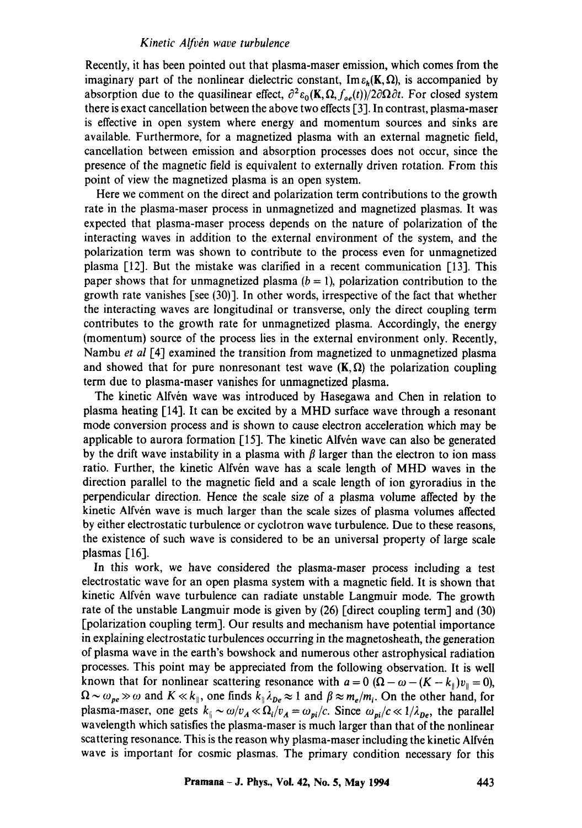### *Kinetic Alfv~n wave turbulence*

Recently, it has been pointed out that plasma-maser emission, which comes from the imaginary part of the nonlinear dielectric constant,  $\text{Im } \varepsilon_h(\mathbf{K}, \Omega)$ , is accompanied by absorption due to the quasilinear effect,  $\partial^2 \varepsilon_0(\mathbf{K}, \Omega, f_{oe}(t))/2 \partial \Omega \partial t$ . For closed system there is exact cancellation between the above two effects [3]. In contrast, plasma-maser is effective in open system where energy and momentum sources and sinks are available. Furthermore, for a magnetized plasma with an external magnetic field, cancellation between emission and absorption processes does not occur, since the presence of the magnetic field is equivalent to externally driven rotation. From this point of view the magnetized plasma is an open system.

Here we comment on the direct and polarization term contributions to the growth rate in the plasma-maser process in unmagnetized and magnetized plasmas. It was expected that plasma-maser process depends on the nature of polarization of the interacting waves in addition to the external environment of the system, and the polarization term was shown to contribute to the process even for unmagnetized plasma [12]. But the mistake was clarified in a recent communication [13]. This paper shows that for unmagnetized plasma  $(b = 1)$ , polarization contribution to the growth rate vanishes [see (30)]. In other words, irrespective of the fact that whether the interacting waves are longitudinal or transverse, only the direct coupling term contributes to the growth rate for unmagnetized plasma. Accordingly, the energy (momentum) source of the process lies in the external environment only. Recently, Nambu *et al* [4] examined the transition from magnetized to unmagnetized plasma and showed that for pure nonresonant test wave  $(K,\Omega)$  the polarization coupling term due to plasma-maser vanishes for unmagnetized plasma.

The kinetic Alfvén wave was introduced by Hasegawa and Chen in relation to plasma heating [14]. It can be excited by a MHD surface wave through a resonant mode conversion process and is shown to cause electron *acceleration* which may be applicable to aurora formation  $[15]$ . The kinetic Alfvén wave can also be generated by the drift wave instability in a plasma with  $\beta$  larger than the electron to ion mass ratio. Further, the kinetic Alfvén wave has a scale length of MHD waves in the direction parallel to the magnetic field and a scale length of ion gyroradius in the perpendicular direction. Hence the scale size of a plasma volume affected by the kinetic Alfvén wave is much larger than the scale sizes of plasma volumes affected by either electrostatic turbulence or cyclotron wave turbulence. Due to these reasons, the existence of such wave is considered to be an universal property of large scale plasmas [16].

In this work, we have considered the plasma-maser process including a test electrostatic wave for an open plasma system with a magnetic field. It is shown that kinetic Alfvén wave turbulence can radiate unstable Langmuir mode. The growth rate of the unstable Langmuir mode is given by (26) [direct coupling term] and (30) [polarization coupling term]. Our results and mechanism have potential importance in explaining electrostatic turbulences occurring in the magnetosheath, the generation of plasma wave in the earth's bowshock and numerous other astrophysical radiation processes. This point may be appreciated from the following observation. It is well known that for nonlinear scattering resonance with  $a = 0$  ( $\Omega - \omega - (K - k_{\parallel})v_{\parallel} = 0$ ),  $\Omega \sim \omega_{pe} \gg \omega$  and  $K \ll k_{\parallel}$ , one finds  $k_{\parallel} \lambda_{pe} \approx 1$  and  $\beta \approx m_e/m_i$ . On the other hand, for plasma-maser, one gets  $k_i \sim \omega/v_A \ll \Omega_i/v_A = \omega_{pi}/c$ . Since  $\omega_{pi}/c \ll 1/\lambda_{pe}$ , the parallel wavelength which satisfies the plasma-maser is much larger than that of the nonlinear scattering resonance. This is the reason why plasma-maser including the kinetic Alfvén wave is important for cosmic plasmas. The primary condition necessary for this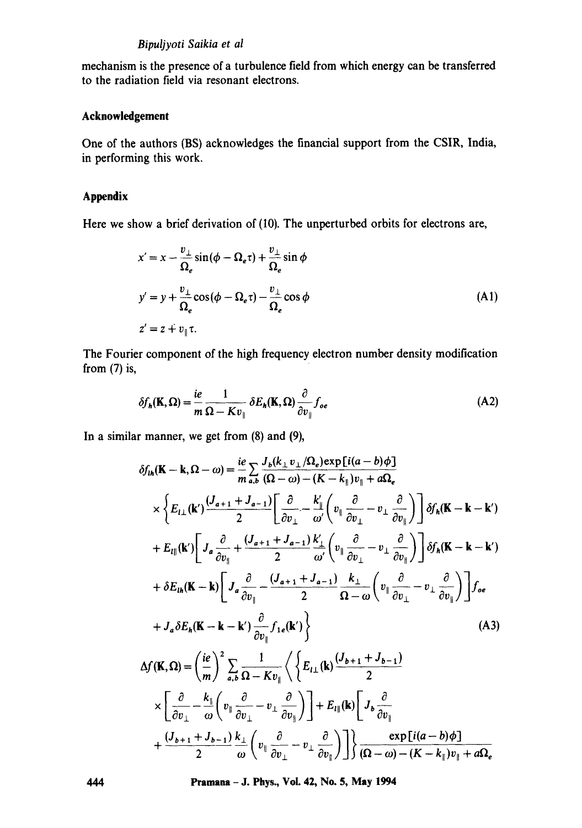## *Bipuljyoti Saikia et al*

mechanism is the presence of a turbulence field from which energy can be transferred to the radiation field via resonant electrons.

## **Acknowledgement**

One of the authors (BS) acknowledges the financial support from the CSIR, India, in performing this work.

# **Appendix**

Here we show a brief derivation of (I0). The unperturbed orbits for electrons are,

$$
x' = x - \frac{v_{\perp}}{\Omega_e} \sin(\phi - \Omega_e \tau) + \frac{v_{\perp}}{\Omega_e} \sin \phi
$$
  

$$
y' = y + \frac{v_{\perp}}{\Omega_e} \cos(\phi - \Omega_e \tau) - \frac{v_{\perp}}{\Omega_e} \cos \phi
$$
 (A1)  

$$
z' = z + v_{\parallel} \tau.
$$

The Fourier component of the high frequency electron number density modification from  $(7)$  is,

$$
\delta f_h(\mathbf{K}, \Omega) = \frac{ie}{m} \frac{1}{\Omega - K v_{\parallel}} \delta E_h(\mathbf{K}, \Omega) \frac{\partial}{\partial v_{\parallel}} f_{oe}
$$
 (A2)

In a similar manner, we get from (8) and (9),

$$
\delta f_{th}(\mathbf{K} - \mathbf{k}, \Omega - \omega) = \frac{i e}{m} \sum_{a,b} \frac{J_b(k_{\perp} v_{\perp} / \Omega_e) \exp[i(a - b)\phi]}{(\Omega - \omega) - (K - k_{\parallel})v_{\parallel} + a\Omega_e}
$$
\n
$$
\times \left\{ E_{l\perp}(\mathbf{k}') \frac{(J_{a+1} + J_{a-1})}{2} \left[ \frac{\partial}{\partial v_{\perp}} - \frac{k'_{\parallel}}{\omega'} \left( v_{\parallel} \frac{\partial}{\partial v_{\perp}} - v_{\perp} \frac{\partial}{\partial v_{\parallel}} \right) \right] \delta f_n(\mathbf{K} - \mathbf{k} - \mathbf{k}')
$$
\n
$$
+ E_{l\parallel}(\mathbf{k}') \left[ J_a \frac{\partial}{\partial v_{\parallel}} + \frac{(J_{a+1} + J_{a-1})}{2} \frac{k'_{\perp}}{\omega'} \left( v_{\parallel} \frac{\partial}{\partial v_{\perp}} - v_{\perp} \frac{\partial}{\partial v_{\parallel}} \right) \right] \delta f_n(\mathbf{K} - \mathbf{k} - \mathbf{k}')
$$
\n
$$
+ \delta E_{th}(\mathbf{K} - \mathbf{k}) \left[ J_a \frac{\partial}{\partial v_{\parallel}} - \frac{(J_{a+1} + J_{a-1})}{2} \frac{k_{\perp}}{\Omega - \omega} \left( v_{\parallel} \frac{\partial}{\partial v_{\perp}} - v_{\perp} \frac{\partial}{\partial v_{\parallel}} \right) \right] f_{oe}
$$
\n
$$
+ J_a \delta E_h(\mathbf{K} - \mathbf{k} - \mathbf{k}') \frac{\partial}{\partial v_{\parallel}} f_{1e}(\mathbf{k}') \right\} \qquad (A3)
$$
\n
$$
\Delta f(\mathbf{K}, \Omega) = \left( \frac{ie}{m} \right)^2 \sum_{a,b} \frac{1}{\Omega - K v_{\parallel}} \left\langle \left\{ E_{l\perp}(\mathbf{k}) \frac{(J_{b+1} + J_{b-1})}{2} \right\} - \frac{\partial}{\partial v_{\parallel}} \right\} + E_{l\parallel}(\mathbf{k}) \left[ J_b \frac{\partial}{\partial v_{\parallel}} - \frac{\partial}{\partial v_{\parallel}} \right] \right\} + \frac{(J_{b+1} + J_{b-1})}{2} \frac{k
$$

**444 Pramana - J. Phys., Vol. 42, No. 5, May 1994**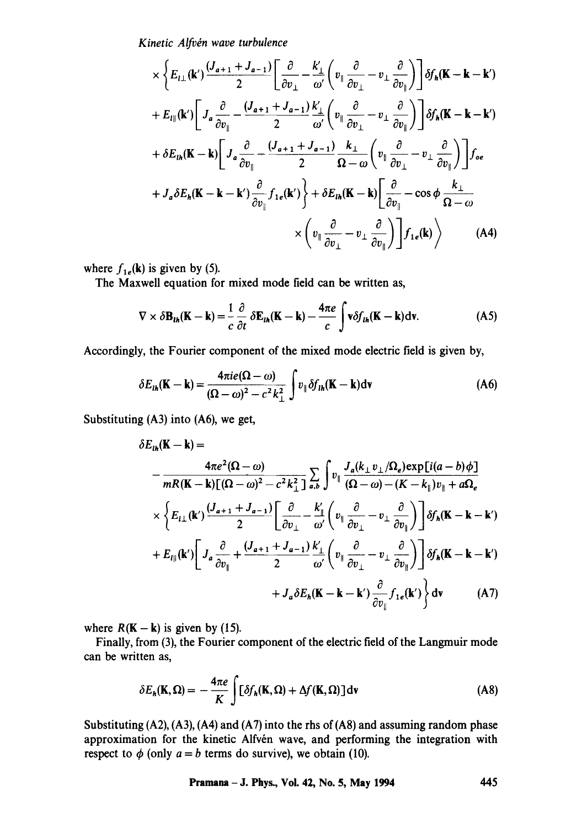*Kinetic Alfv~n wave turbulence* 

$$
\times \left\{ E_{l\perp}(\mathbf{k}') \frac{(J_{a+1} + J_{a-1})}{2} \left[ \frac{\partial}{\partial v_{\perp}} - \frac{k'_{\perp}}{\omega'} \left( v_{\parallel} \frac{\partial}{\partial v_{\perp}} - v_{\perp} \frac{\partial}{\partial v_{\parallel}} \right) \right] \delta f_{h}(\mathbf{k} - \mathbf{k} - \mathbf{k}')
$$
  
+  $E_{l\parallel}(\mathbf{k}') \left[ J_{a} \frac{\partial}{\partial v_{\parallel}} - \frac{(J_{a+1} + J_{a-1})}{2} \frac{k'_{\perp}}{\omega'} \left( v_{\parallel} \frac{\partial}{\partial v_{\perp}} - v_{\perp} \frac{\partial}{\partial v_{\parallel}} \right) \right] \delta f_{h}(\mathbf{k} - \mathbf{k} - \mathbf{k}')$   
+  $\delta E_{lh}(\mathbf{k} - \mathbf{k}) \left[ J_{a} \frac{\partial}{\partial v_{\parallel}} - \frac{(J_{a+1} + J_{a-1})}{2} \frac{k'_{\perp}}{\Omega - \omega} \left( v_{\parallel} \frac{\partial}{\partial v_{\perp}} - v_{\perp} \frac{\partial}{\partial v_{\parallel}} \right) \right] f_{oe}$   
+  $J_{a} \delta E_{h}(\mathbf{k} - \mathbf{k} - \mathbf{k}') \frac{\partial}{\partial v_{\parallel}} f_{1e}(\mathbf{k}') \right\} + \delta E_{lh}(\mathbf{K} - \mathbf{k}) \left[ \frac{\partial}{\partial v_{\parallel}} - \cos \phi \frac{k_{\perp}}{\Omega - \omega} \right]$   
 $\times \left( v_{\parallel} \frac{\partial}{\partial v_{\perp}} - v_{\perp} \frac{\partial}{\partial v_{\parallel}} \right) \right] f_{1e}(\mathbf{k}) \right)$  (A4)

where  $f_{1e}(\mathbf{k})$  is given by (5).

The Maxwell equation for mixed mode field can be written as,

$$
\nabla \times \delta \mathbf{B}_{\iota h}(\mathbf{K} - \mathbf{k}) = \frac{1}{c} \frac{\partial}{\partial t} \delta \mathbf{E}_{\iota h}(\mathbf{K} - \mathbf{k}) - \frac{4\pi e}{c} \int \mathbf{v} \delta f_{\iota h}(\mathbf{K} - \mathbf{k}) \mathrm{d} \mathbf{v}.
$$
 (A5)

Accordingly, the Fourier component of the mixed mode electric field is given by,

$$
\delta E_{th}(\mathbf{K} - \mathbf{k}) = \frac{4\pi i e(\Omega - \omega)}{(\Omega - \omega)^2 - c^2 k_{\perp}^2} \int v_{\parallel} \delta f_{th}(\mathbf{K} - \mathbf{k}) d\mathbf{v}
$$
 (A6)

Substituting  $(A3)$  into  $(A6)$ , we get,

$$
\delta E_{th}(\mathbf{K} - \mathbf{k}) =
$$
\n
$$
- \frac{4\pi e^2 (\Omega - \omega)}{mR(\mathbf{K} - \mathbf{k})[(\Omega - \omega)^2 - c^2 k_{\perp}^2]} \sum_{a,b} \int v_{\parallel} \frac{J_a(k_{\perp} v_{\perp} / \Omega_e) \exp[i(a - b)\phi]}{(\Omega - \omega) - (K - k_{\parallel})v_{\parallel} + a\Omega_e}
$$
\n
$$
\times \left\{ E_{l\perp}(\mathbf{k}') \frac{(J_{a+1} + J_{a-1})}{2} \left[ \frac{\partial}{\partial v_{\perp}} - \frac{k'_{\parallel}}{\omega'} \left( v_{\parallel} \frac{\partial}{\partial v_{\perp}} - v_{\perp} \frac{\partial}{\partial v_{\parallel}} \right) \right] \delta f_h(\mathbf{K} - \mathbf{k} - \mathbf{k}') \right.
$$
\n
$$
+ E_{l\parallel}(\mathbf{k}') \left[ J_a \frac{\partial}{\partial v_{\parallel}} + \frac{(J_{a+1} + J_{a-1})}{2} \frac{k'_{\perp}}{\omega'} \left( v_{\parallel} \frac{\partial}{\partial v_{\perp}} - v_{\perp} \frac{\partial}{\partial v_{\parallel}} \right) \right] \delta f_h(\mathbf{K} - \mathbf{k} - \mathbf{k}') \right.
$$
\n
$$
+ J_a \delta E_h(\mathbf{K} - \mathbf{k} - \mathbf{k}') \frac{\partial}{\partial v_{\parallel}} f_{1e}(\mathbf{k}') \right\} \mathrm{d}\mathbf{v} \tag{A7}
$$

where  $R(K - k)$  is given by (15).

Finally, from (3), the Fourier component of the electric field of the Langmuir mode can be written as,

$$
\delta E_h(\mathbf{K}, \Omega) = -\frac{4\pi e}{K} \int [\delta f_h(\mathbf{K}, \Omega) + \Delta f(\mathbf{K}, \Omega)] \, \mathrm{d}\mathbf{v}
$$
 (A8)

Substituting (A2), (A3), (A4) and (A7) into the rhs of (A8) and assuming random phase approximation for the kinetic Alfvén wave, and performing the integration with respect to  $\phi$  (only  $a = b$  terms do survive), we obtain (10).